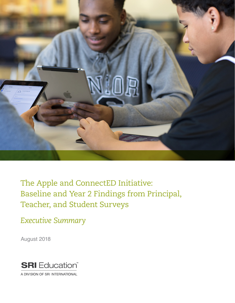

The Apple and ConnectED Initiative: Baseline and Year 2 Findings from Principal, Teacher, and Student Surveys

*Executive Summary*

August 2018



A DIVISION OF SRI INTERNATIONAL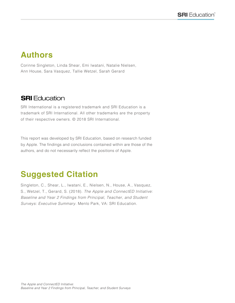# **Authors**

Corinne Singleton, Linda Shear, Emi Iwatani, Natalie Nielsen, Ann House, Sara Vasquez, Tallie Wetzel, Sarah Gerard

### **SRI** Education

SRI International is a registered trademark and SRI Education is a trademark of SRI International. All other trademarks are the property of their respective owners. © 2018 SRI International.

This report was developed by SRI Education, based on research funded by Apple. The findings and conclusions contained within are those of the authors, and do not necessarily reflect the positions of Apple.

# **Suggested Citation**

Singleton, C., Shear, L., Iwatani, E., Nielsen, N., House, A., Vasquez, S., Wetzel, T., Gerard, S. (2018). *The Apple and ConnectED Initiative: Baseline and Year 2 Findings from Principal, Teacher, and Student Surveys: Executive Summary.* Menlo Park, VA: SRI Education.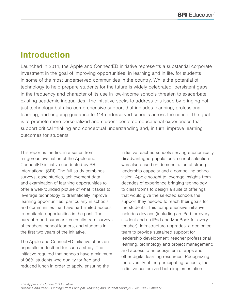# **Introduction**

Launched in 2014, the Apple and ConnectED initiative represents a substantial corporate investment in the goal of improving opportunities, in learning and in life, for students in some of the most underserved communities in the country. While the potential of technology to help prepare students for the future is widely celebrated, persistent gaps in the frequency and character of its use in low-income schools threaten to exacerbate existing academic inequalities. The initiative seeks to address this issue by bringing not just technology but also comprehensive support that includes planning, professional learning, and ongoing guidance to 114 underserved schools across the nation. The goal is to promote more personalized and student-centered educational experiences that support critical thinking and conceptual understanding and, in turn, improve learning outcomes for students.

This report is the first in a series from a rigorous evaluation of the Apple and ConnectED initiative conducted by SRI International (SRI). The full study combines surveys, case studies, achievement data, and examination of learning opportunities to offer a well-rounded picture of what it takes to leverage technology to dramatically improve learning opportunities, particularly in schools and communities that have had limited access to equitable opportunities in the past. The current report summarizes results from surveys of teachers, school leaders, and students in the first two years of the initiative.

The Apple and ConnectED initiative offers an unparalleled testbed for such a study. The initiative required that schools have a minimum of 96% students who quality for free and reduced lunch in order to apply, ensuring the

initiative reached schools serving economically disadvantaged populations; school selection was also based on demonstration of strong leadership capacity and a compelling school vision. Apple sought to leverage insights from decades of experience bringing technology to classrooms to design a suite of offerings that would give the selected schools the support they needed to reach their goals for the students. This comprehensive initiative includes devices (including an iPad for every student and an iPad and MacBook for every teacher); infrastructure upgrades; a dedicated team to provide sustained support for leadership development, teacher professional learning, technology and project management; and access to an ecosystem of apps and other digital learning resources. Recognizing the diversity of the participating schools, the initiative customized both implementation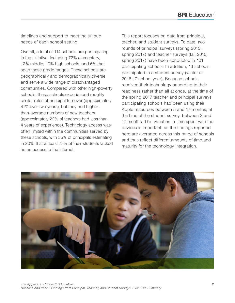timelines and support to meet the unique needs of each school setting.

Overall, a total of 114 schools are participating in the initiative, including 72% elementary, 12% middle, 10% high schools, and 6% that span these grade ranges. These schools are geographically and demographically diverse and serve a wide range of disadvantaged communities. Compared with other high-poverty schools, these schools experienced roughly similar rates of principal turnover (approximately 41% over two years), but they had higherthan-average numbers of new teachers (approximately 22% of teachers had less than 4 years of experience). Technology access was often limited within the communities served by these schools, with 55% of principals estimating in 2015 that at least 75% of their students lacked home access to the internet.

This report focuses on data from principal, teacher, and student surveys. To date, two rounds of principal surveys (spring 2015, spring 2017) and teacher surveys (fall 2015, spring 2017) have been conducted in 101 participating schools. In addition, 13 schools participated in a student survey (winter of 2016-17 school year). Because schools received their technology according to their readiness rather than all at once, at the time of the spring 2017 teacher and principal surveys participating schools had been using their Apple resources between 5 and 17 months; at the time of the student survey, between 3 and 17 months. This variation in time spent with the devices is important, as the findings reported here are averaged across this range of schools and thus reflect different amounts of time and maturity for the technology integration.

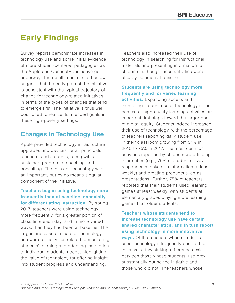# **Early Findings**

Survey reports demonstrate increases in technology use and some initial evidence of more student-centered pedagogies as the Apple and ConnectED initiative got underway. The results summarized below suggest that the early path of the initiative is consistent with the typical trajectory of change for technology-related initiatives, in terms of the types of changes that tend to emerge first. The initiative is thus well positioned to realize its intended goals in these high-poverty settings.

### **Changes in Technology Use**

Apple provided technology infrastructure upgrades and devices for all principals, teachers, and students, along with a sustained program of coaching and consulting. The influx of technology was an important, but by no means singular, component of the initiative.

**Teachers began using technology more frequently than at baseline, especially for differentiating instruction.** By spring 2017, teachers were using technology more frequently, for a greater portion of class time each day, and in more varied ways, than they had been at baseline. The largest increases in teacher technology use were for activities related to monitoring students' learning and adapting instruction to individual students' needs, highlighting the value of technology for offering insight into student progress and understanding.

Teachers also increased their use of technology in searching for instructional materials and presenting information to students, although these activities were already common at baseline.

#### **Students are using technology more frequently and for varied learning**

**activities.** Expanding access and increasing student use of technology in the context of high-quality learning activities are important first steps toward the larger goal of digital equity. Students indeed increased their use of technology, with the percentage of teachers reporting daily student use in their classroom growing from 31% in 2015 to 75% in 2017. The most common activities reported by students were finding information (e.g., 70% of student survey respondents looked up information at least weekly) and creating products such as presentations. Further, 75% of teachers reported that their students used learning games at least weekly, with students at elementary grades playing more learning games than older students.

**Teachers whose students tend to increase technology use have certain shared characteristics, and in turn report using technology in more innovative ways.** Of the teachers whose students used technology infrequently prior to the initiative, a few striking differences exist between those whose students' use grew substantially during the initiative and those who did not. The teachers whose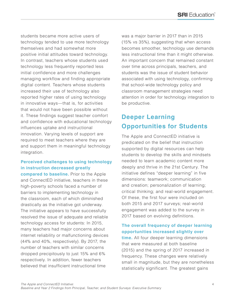students became more active users of technology tended to use more technology themselves and had somewhat more positive initial attitudes toward technology. In contrast, teachers whose students used technology less frequently reported less initial confidence and more challenges managing workflow and finding appropriate digital content. Teachers whose students increased their use of technology also reported higher rates of using technology in innovative ways—that is, for activities that would not have been possible without it. These findings suggest teacher comfort and confidence with educational technology influences uptake and instructional innovation. Varying levels of support are required to meet teachers where they are and support them in meaningful technology integration.

### **Perceived challenges to using technology in instruction decreased greatly**

**compared to baseline.** Prior to the Apple and ConnectED initiative, teachers in these high-poverty schools faced a number of barriers to implementing technology in the classroom, each of which diminished drastically as the initiative got underway. The initiative appears to have successfully resolved the issue of adequate and reliable technology access for students: In 2015, many teachers had major concerns about internet reliability or malfunctioning devices (44% and 40%, respectively). By 2017, the number of teachers with similar concerns dropped precipitously to just 15% and 6% respectively. In addition, fewer teachers believed that insufficient instructional time

was a major barrier in 2017 than in 2015 (15% vs 35%), suggesting that when access becomes smoother, technology use demands less instructional time than it might otherwise. An important concern that remained constant over time across principals, teachers, and students was the issue of student behavior associated with using technology, confirming that school-wide technology policy and classroom management strategies need attention in order for technology integration to be productive.

## **Deeper Learning Opportunities for Students**

The Apple and ConnectED initiative is predicated on the belief that instruction supported by digital resources can help students to develop the skills and mindsets needed to learn academic content more deeply and thrive in the 21st Century. The initiative defines "deeper learning" in five dimensions: teamwork; communication and creation; personalization of learning; critical thinking; and real-world engagement. Of these, the first four were included on both 2015 and 2017 surveys; real-world engagement was added to the survey in 2017 based on evolving definitions.

### **The overall frequency of deeper learning opportunities increased slightly over**

**time.** All four deeper learning dimensions that were measured at both baseline (2015) and the spring of 2017 increased in frequency. These changes were relatively small in magnitude, but they are nonetheless statistically significant. The greatest gains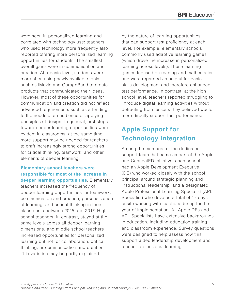were seen in personalized learning and correlated with technology use: teachers who used technology more frequently also reported offering more personalized learning opportunities for students. The smallest overall gains were in communication and creation. At a basic level, students were more often using newly available tools such as iMovie and GarageBand to create products that communicated their ideas. However, most of these opportunities for communication and creation did not reflect advanced requirements such as attending to the needs of an audience or applying principles of design. In general, first steps toward deeper learning opportunities were evident in classrooms; at the same time, more support may be needed for teachers to craft increasingly strong opportunities for critical thinking, teamwork, and other elements of deeper learning.

#### **Elementary school teachers were responsible for most of the increase in deeper learning opportunities**. Elementary

teachers increased the frequency of deeper learning opportunities for teamwork, communication and creation, personalization of learning, and critical thinking in their classrooms between 2015 and 2017. High school teachers, in contrast, stayed at the same levels across all deeper learning dimensions, and middle school teachers increased opportunities for personalized learning but not for collaboration, critical thinking, or communication and creation. This variation may be partly explained

by the nature of learning opportunities that can support test proficiency at each level. For example, elementary schools commonly used adaptive learning games (which drove the increase in personalized learning across levels). These learning games focused on reading and mathematics and were regarded as helpful for basic skills development and therefore enhanced test performance. In contrast, at the high school level, teachers reported struggling to introduce digital learning activities without detracting from lessons they believed would more directly support test performance.

## **Apple Support for Technology Integration**

Among the members of the dedicated support team that came as part of the Apple and ConnectED initiative, each school had an Apple Development Executive (DE) who worked closely with the school principal around strategic planning and instructional leadership, and a designated Apple Professional Learning Specialist (APL Specialist) who devoted a total of 17 days onsite working with teachers during the first year of implementation. All Apple DEs and APL Specialists have extensive backgrounds in education, including education training and classroom experience. Survey questions were designed to help assess how this support aided leadership development and teacher professional learning.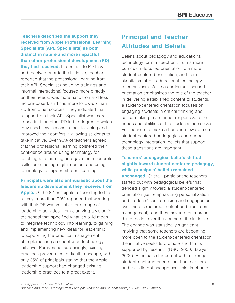**Teachers described the support they received from Apple Professional Learning Specialists (APL Specialists) as both distinct in nature and more impactful than other professional development (PD) they had received.** In contrast to PD they had received prior to the initiative, teachers reported that the professional learning from their APL Specialist (including trainings and informal interactions) focused more directly on their needs; was more hands-on and less lecture-based; and had more follow-up than PD from other sources. They indicated that support from their APL Specialist was more impactful than other PD in the degree to which they used new lessons in their teaching and improved their comfort in allowing students to take initiative. Over 90% of teachers agreed that the professional learning bolstered their confidence around using technology for teaching and learning and gave them concrete skills for selecting digital content and using technology to support student learning.

### **Principals were also enthusiastic about the leadership development they received from**

**Apple.** Of the 82 principals responding to the survey, more than 90% reported that working with their DE was valuable for a range of leadership activities, from clarifying a vision for the school that specified what it would mean to integrate technology into learning, to gaining and implementing new ideas for leadership, to supporting the practical management of implementing a school-wide technology initiative. Perhaps not surprisingly, existing practices proved most difficult to change, with only 35% of principals stating that the Apple leadership support had changed existing leadership practices to a great extent.

## **Principal and Teacher Attitudes and Beliefs**

Beliefs about pedagogy and educational technology form a spectrum, from a more curriculum-focused orientation to a more student-centered orientation, and from skepticism about educational technology to enthusiasm. While a curriculum-focused orientation emphasizes the role of the teacher in delivering established content to students, a student-centered orientation focuses on engaging students in critical thinking and sense-making in a manner responsive to the needs and abilities of the students themselves. For teachers to make a transition toward more student-centered pedagogies and deeper technology integration, beliefs that support these transitions are important.

### **Teachers' pedagogical beliefs shifted slightly toward student-centered pedagogy, while principals' beliefs remained**

**unchanged.** Overall, participating teachers started out with pedagogical beliefs that trended slightly toward a student-centered orientation (i.e., emphasizing personalization and students' sense-making and engagement over more structured content and classroom management), and they moved a bit more in this direction over the course of the initiative. The change was statistically significant, implying that some teachers are becoming more open to the student-centered orientation the initiative seeks to promote and that is supported by research (NRC, 2000; Sawyer, 2006). Principals started out with a stronger student-centered orientation than teachers and that did not change over this timeframe.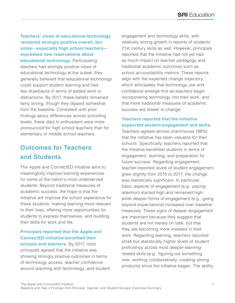**Teachers' views of educational technology remained strongly positive overall, but some—especially high school teachers expressed new reservations about educational technology.** Participating teachers had strongly positive views of educational technology at the outset: they generally believed that educational technology could support student learning and had few drawbacks in terms of added work or distractions. By 2017, these beliefs remained fairly strong, though they dipped somewhat from the baseline. Consistent with prior findings about differences across schooling levels, these dips in enthusiasm were more pronounced for high school teachers than for elementary or middle school teachers.

## **Outcomes for Teachers and Students**

The Apple and ConnectED initiative aims to meaningfully improve learning experiences for some of the nation's most underserved students. Beyond traditional measures of academic success, the hope is that the initiative will improve the school experience for these students, making learning more relevant to their lives, offering more opportunities for students to express themselves, and building their skills for work and life.

#### **Principals reported that the Apple and ConnectED initiative benefited their**

**schools and teachers.** By 2017, most principals agreed that the initiative was showing strongly positive outcomes in terms of technology access, teacher confidence around teaching with technology, and student

engagement and technology skills, with relatively strong growth in reports of students' 21st century skills as well. However, principals reported that the initiative had not yet had as much impact on teacher pedagogy and traditional academic outcomes such as school accountability metrics. These reports align with the expected change trajectory, which anticipates that technology use and confidence emerge first as teachers begin incorporating technology into their work, and that more traditional measures of academic success are slower to change.

### **Teachers reported that the initiative supported student engagement and skills.**

Teachers agreed almost unanimously (98%) that the initiative has been valuable for their schools. Specifically, teachers reported that the initiative benefited students in terms of engagement, learning, and preparation for future success. Regarding engagement, teacher-reported levels of student engagement grew slightly from 2015 to 2017; the change was statistically significant. In particular, basic aspects of engagement (e.g., paying attention) started high and remained high, while deeper forms of engagement (e.g., going beyond expectations) increased over baseline measures. These signs of deeper engagement are important because they suggest that students are not merely on task, but that they are becoming more invested in their work. Regarding learning, teachers reported small but statistically higher levels of student proficiency across most deeper-learningrelated skills (e.g., figuring out something new; working collaboratively; creating strong products) since the initiative began. The ability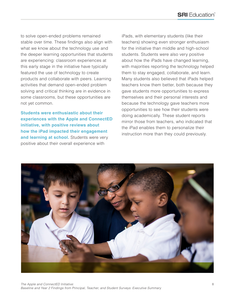to solve open-ended problems remained stable over time. These findings also align with what we know about the technology use and the deeper learning opportunities that students are experiencing: classroom experiences at this early stage in the initiative have typically featured the use of technology to create products and collaborate with peers. Learning activities that demand open-ended problem solving and critical thinking are in evidence in some classrooms, but these opportunities are not yet common.

**Students were enthusiastic about their experiences with the Apple and ConnectED initiative, with positive reviews about how the iPad impacted their engagement**  and learning at school. Students were very positive about their overall experience with

iPads, with elementary students (like their teachers) showing even stronger enthusiasm for the initiative than middle and high-school students. Students were also very positive about how the iPads have changed learning, with majorities reporting the technology helped them to stay engaged, collaborate, and learn. Many students also believed that iPads helped teachers know them better, both because they gave students more opportunities to express themselves and their personal interests and because the technology gave teachers more opportunities to see how their students were doing academically. These student reports mirror those from teachers, who indicated that the iPad enables them to personalize their instruction more than they could previously.

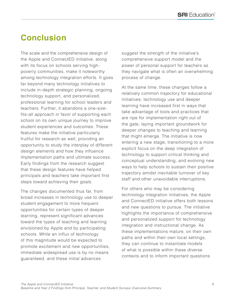# **Conclusion**

The scale and the comprehensive design of the Apple and ConnectED initiative, along with its focus on schools serving highpoverty communities, make it noteworthy among technology integration efforts. It goes far beyond many technology initiatives to include in-depth strategic planning, ongoing technology support, and personalized, professional learning for school leaders and teachers. Further, it abandons a one-sizefits-all approach in favor of supporting each school on its own unique journey to improve student experiences and outcomes. These features make the initiative particularly fruitful for research as well, providing an opportunity to study the interplay of different design elements and how they influence implementation paths and ultimate success. Early findings from the research suggest that these design features have helped principals and teachers take important first steps toward achieving their goals.

The changes documented thus far, from broad increases in technology use to deeper student engagement to more frequent opportunities for certain types of deeper learning, represent significant advances toward the types of teaching and learning envisioned by Apple and by participating schools. While an influx of technology of this magnitude would be expected to promote excitement and new opportunities, immediate widespread use is by no means guaranteed, and these initial advances

suggest the strength of the initiative's comprehensive support model and the power of personal support for teachers as they navigate what is often an overwhelming process of change.

At the same time, these changes follow a relatively common trajectory for educational initiatives: technology use and deeper learning have increased first in ways that take advantage of tools and practices that are ripe for implementation right out of the gate, laying important groundwork for deeper changes to teaching and learning that might emerge. The initiative is now entering a new stage, transitioning to a more explicit focus on the deep integration of technology to support critical thinking and conceptual understanding, and evolving new ways to help schools to sustain their positive trajectory amidst inevitable turnover of key staff and other unavoidable interruptions.

For others who may be considering technology integration initiatives, the Apple and ConnectED initiative offers both lessons and new questions to pursue. The initiative highlights the importance of comprehensive and personalized support for technology integration and instructional change. As these implementations mature, on their own paths and within their own local settings, they can continue to instantiate models of what is possible within these diverse contexts and to inform important questions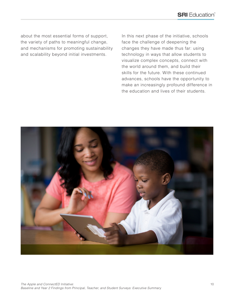about the most essential forms of support, the variety of paths to meaningful change, and mechanisms for promoting sustainability and scalability beyond initial investments.

In this next phase of the initiative, schools face the challenge of deepening the changes they have made thus far: using technology in ways that allow students to visualize complex concepts, connect with the world around them, and build their skills for the future. With these continued advances, schools have the opportunity to make an increasingly profound difference in the education and lives of their students.